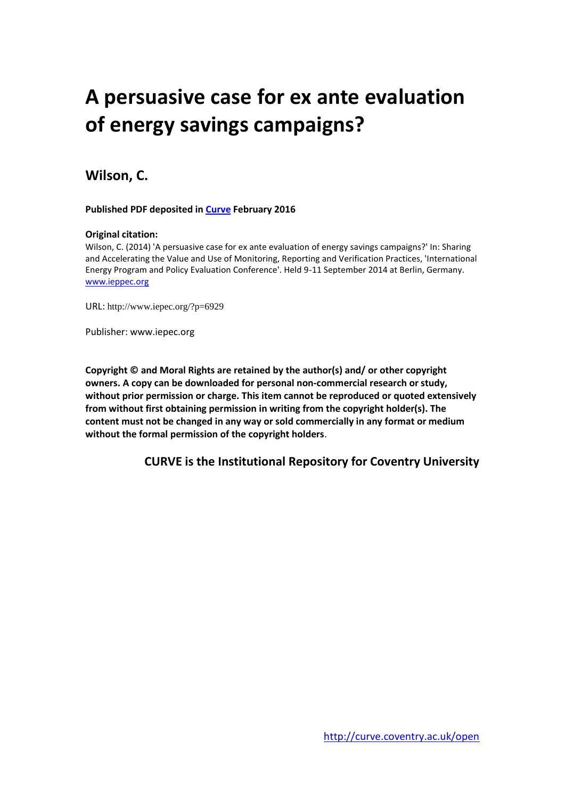# **A persuasive case for ex ante evaluation of energy savings campaigns?**

# **Wilson, C.**

#### **Published PDF deposited in [Curve](http://curve.coventry.ac.uk/open) February 2016**

#### **Original citation:**

Wilson, C. (2014) 'A persuasive case for ex ante evaluation of energy savings campaigns?' In: Sharing and Accelerating the Value and Use of Monitoring, Reporting and Verification Practices, 'International Energy Program and Policy Evaluation Conference'. Held 9-11 September 2014 at Berlin, Germany. [www.ieppec.org](http://www.ieppec.org/)

URL: http://www.iepec.org/?p=6929

Publisher: www.iepec.org

**Copyright © and Moral Rights are retained by the author(s) and/ or other copyright owners. A copy can be downloaded for personal non-commercial research or study, without prior permission or charge. This item cannot be reproduced or quoted extensively from without first obtaining permission in writing from the copyright holder(s). The content must not be changed in any way or sold commercially in any format or medium without the formal permission of the copyright holders**.

**CURVE is the Institutional Repository for Coventry University**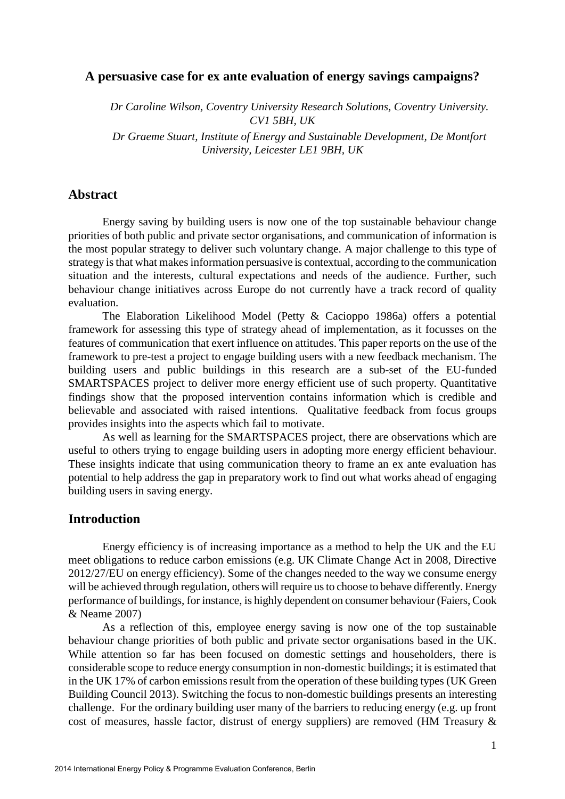# **A persuasive case for ex ante evaluation of energy savings campaigns?**

*Dr Caroline Wilson, Coventry University Research Solutions, Coventry University. CV1 5BH, UK* 

*Dr Graeme Stuart, Institute of Energy and Sustainable Development, De Montfort University, Leicester LE1 9BH, UK* 

# **Abstract**

Energy saving by building users is now one of the top sustainable behaviour change priorities of both public and private sector organisations, and communication of information is the most popular strategy to deliver such voluntary change. A major challenge to this type of strategy is that what makes information persuasive is contextual, according to the communication situation and the interests, cultural expectations and needs of the audience. Further, such behaviour change initiatives across Europe do not currently have a track record of quality evaluation.

The Elaboration Likelihood Model (Petty & Cacioppo 1986a) offers a potential framework for assessing this type of strategy ahead of implementation, as it focusses on the features of communication that exert influence on attitudes. This paper reports on the use of the framework to pre-test a project to engage building users with a new feedback mechanism. The building users and public buildings in this research are a sub-set of the EU-funded SMARTSPACES project to deliver more energy efficient use of such property. Quantitative findings show that the proposed intervention contains information which is credible and believable and associated with raised intentions. Qualitative feedback from focus groups provides insights into the aspects which fail to motivate.

As well as learning for the SMARTSPACES project, there are observations which are useful to others trying to engage building users in adopting more energy efficient behaviour. These insights indicate that using communication theory to frame an ex ante evaluation has potential to help address the gap in preparatory work to find out what works ahead of engaging building users in saving energy.

# **Introduction**

Energy efficiency is of increasing importance as a method to help the UK and the EU meet obligations to reduce carbon emissions (e.g. UK Climate Change Act in 2008, Directive 2012/27/EU on energy efficiency). Some of the changes needed to the way we consume energy will be achieved through regulation, others will require us to choose to behave differently. Energy performance of buildings, for instance, is highly dependent on consumer behaviour (Faiers, Cook & Neame 2007)

As a reflection of this, employee energy saving is now one of the top sustainable behaviour change priorities of both public and private sector organisations based in the UK. While attention so far has been focused on domestic settings and householders, there is considerable scope to reduce energy consumption in non-domestic buildings; it is estimated that in the UK 17% of carbon emissions result from the operation of these building types (UK Green Building Council 2013). Switching the focus to non-domestic buildings presents an interesting challenge. For the ordinary building user many of the barriers to reducing energy (e.g. up front cost of measures, hassle factor, distrust of energy suppliers) are removed (HM Treasury &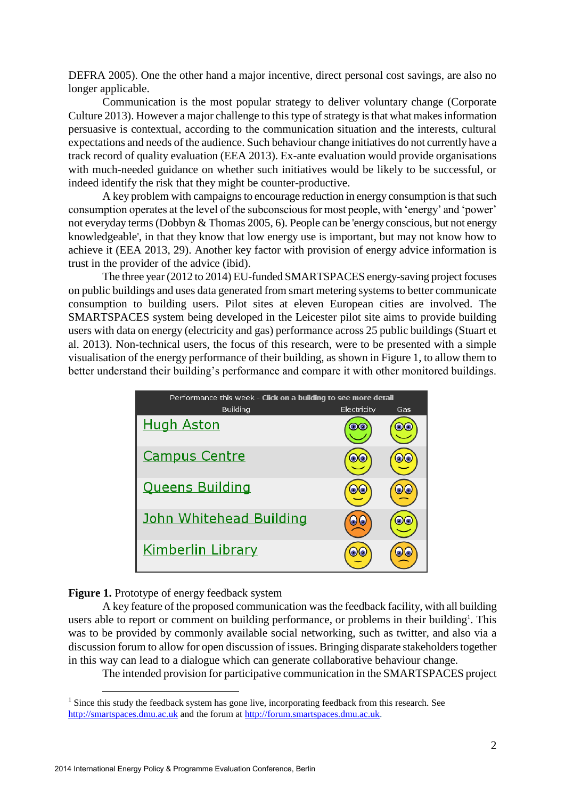DEFRA 2005). One the other hand a major incentive, direct personal cost savings, are also no longer applicable.

Communication is the most popular strategy to deliver voluntary change (Corporate Culture 2013). However a major challenge to this type of strategy is that what makes information persuasive is contextual, according to the communication situation and the interests, cultural expectations and needs of the audience. Such behaviour change initiatives do not currently have a track record of quality evaluation (EEA 2013). Ex-ante evaluation would provide organisations with much-needed guidance on whether such initiatives would be likely to be successful, or indeed identify the risk that they might be counter-productive.

A key problem with campaigns to encourage reduction in energy consumption is that such consumption operates at the level of the subconscious for most people, with 'energy' and 'power' not everyday terms (Dobbyn & Thomas 2005, 6). People can be 'energy conscious, but not energy knowledgeable', in that they know that low energy use is important, but may not know how to achieve it (EEA 2013, 29). Another key factor with provision of energy advice information is trust in the provider of the advice (ibid).

The three year (2012 to 2014) EU-funded SMARTSPACES energy-saving project focuses on public buildings and uses data generated from smart metering systems to better communicate consumption to building users. Pilot sites at eleven European cities are involved. The SMARTSPACES system being developed in the Leicester pilot site aims to provide building users with data on energy (electricity and gas) performance across 25 public buildings (Stuart et al. 2013). Non-technical users, the focus of this research, were to be presented with a simple visualisation of the energy performance of their building, as shown in Figure 1, to allow them to better understand their building's performance and compare it with other monitored buildings.

| Performance this week - Click on a building to see more detail |             |     |  |  |  |
|----------------------------------------------------------------|-------------|-----|--|--|--|
| Building                                                       | Electricity | Gas |  |  |  |
| <b>Hugh Aston</b>                                              |             |     |  |  |  |
| <b>Campus Centre</b>                                           |             |     |  |  |  |
| <b>Queens Building</b>                                         |             |     |  |  |  |
| John Whitehead Building                                        |             |     |  |  |  |
| <b>Kimberlin Library</b>                                       |             |     |  |  |  |

#### **Figure 1.** Prototype of energy feedback system

1

A key feature of the proposed communication was the feedback facility, with all building users able to report or comment on building performance, or problems in their building<sup>1</sup>. This was to be provided by commonly available social networking, such as twitter, and also via a discussion forum to allow for open discussion of issues. Bringing disparate stakeholders together in this way can lead to a dialogue which can generate collaborative behaviour change.

The intended provision for participative communication in the SMARTSPACES project

<sup>&</sup>lt;sup>1</sup> Since this study the feedback system has gone live, incorporating feedback from this research. See [http://smartspaces.dmu.ac.uk](http://smartspaces.dmu.ac.uk/) and the forum at [http://forum.smartspaces.dmu.ac.uk.](http://forum.smartspaces.dmu.ac.uk/)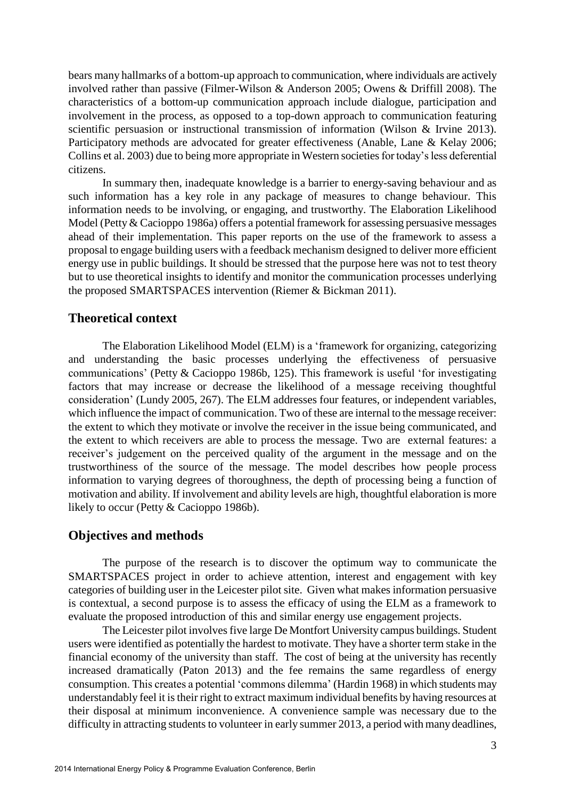bears many hallmarks of a bottom-up approach to communication, where individuals are actively involved rather than passive (Filmer-Wilson & Anderson 2005; Owens & Driffill 2008). The characteristics of a bottom-up communication approach include dialogue, participation and involvement in the process, as opposed to a top-down approach to communication featuring scientific persuasion or instructional transmission of information (Wilson & Irvine 2013). Participatory methods are advocated for greater effectiveness (Anable, Lane & Kelay 2006; Collins et al. 2003) due to being more appropriate in Western societies for today's less deferential citizens.

In summary then, inadequate knowledge is a barrier to energy-saving behaviour and as such information has a key role in any package of measures to change behaviour. This information needs to be involving, or engaging, and trustworthy. The Elaboration Likelihood Model (Petty & Cacioppo 1986a) offers a potential framework for assessing persuasive messages ahead of their implementation. This paper reports on the use of the framework to assess a proposal to engage building users with a feedback mechanism designed to deliver more efficient energy use in public buildings. It should be stressed that the purpose here was not to test theory but to use theoretical insights to identify and monitor the communication processes underlying the proposed SMARTSPACES intervention (Riemer & Bickman 2011).

# **Theoretical context**

The Elaboration Likelihood Model (ELM) is a 'framework for organizing, categorizing and understanding the basic processes underlying the effectiveness of persuasive communications' (Petty & Cacioppo 1986b, 125). This framework is useful 'for investigating factors that may increase or decrease the likelihood of a message receiving thoughtful consideration' (Lundy 2005, 267). The ELM addresses four features, or independent variables, which influence the impact of communication. Two of these are internal to the message receiver: the extent to which they motivate or involve the receiver in the issue being communicated, and the extent to which receivers are able to process the message. Two are external features: a receiver's judgement on the perceived quality of the argument in the message and on the trustworthiness of the source of the message. The model describes how people process information to varying degrees of thoroughness, the depth of processing being a function of motivation and ability. If involvement and ability levels are high, thoughtful elaboration is more likely to occur (Petty & Cacioppo 1986b).

### **Objectives and methods**

The purpose of the research is to discover the optimum way to communicate the SMARTSPACES project in order to achieve attention, interest and engagement with key categories of building user in the Leicester pilot site. Given what makes information persuasive is contextual, a second purpose is to assess the efficacy of using the ELM as a framework to evaluate the proposed introduction of this and similar energy use engagement projects.

The Leicester pilot involves five large De Montfort University campus buildings. Student users were identified as potentially the hardest to motivate. They have a shorter term stake in the financial economy of the university than staff. The cost of being at the university has recently increased dramatically (Paton 2013) and the fee remains the same regardless of energy consumption. This creates a potential 'commons dilemma' (Hardin 1968) in which students may understandably feel it is their right to extract maximum individual benefits by having resources at their disposal at minimum inconvenience. A convenience sample was necessary due to the difficulty in attracting students to volunteer in early summer 2013, a period with many deadlines,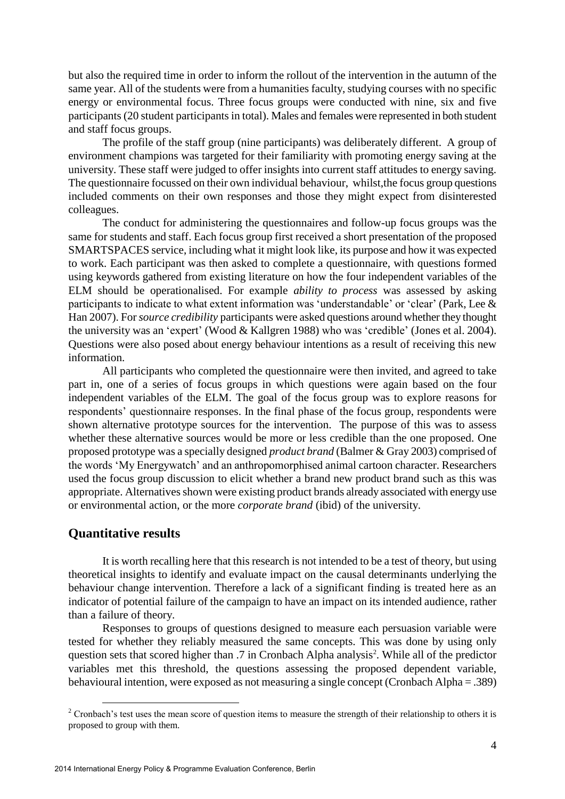but also the required time in order to inform the rollout of the intervention in the autumn of the same year. All of the students were from a humanities faculty, studying courses with no specific energy or environmental focus. Three focus groups were conducted with nine, six and five participants (20 student participants in total). Males and females were represented in both student and staff focus groups.

The profile of the staff group (nine participants) was deliberately different. A group of environment champions was targeted for their familiarity with promoting energy saving at the university. These staff were judged to offer insights into current staff attitudes to energy saving. The questionnaire focussed on their own individual behaviour, whilst,the focus group questions included comments on their own responses and those they might expect from disinterested colleagues.

The conduct for administering the questionnaires and follow-up focus groups was the same for students and staff. Each focus group first received a short presentation of the proposed SMARTSPACES service, including what it might look like, its purpose and how it was expected to work. Each participant was then asked to complete a questionnaire, with questions formed using keywords gathered from existing literature on how the four independent variables of the ELM should be operationalised. For example *ability to process* was assessed by asking participants to indicate to what extent information was 'understandable' or 'clear' (Park, Lee & Han 2007). For *source credibility* participants were asked questions around whether they thought the university was an 'expert' (Wood & Kallgren 1988) who was 'credible' (Jones et al. 2004). Questions were also posed about energy behaviour intentions as a result of receiving this new information.

All participants who completed the questionnaire were then invited, and agreed to take part in, one of a series of focus groups in which questions were again based on the four independent variables of the ELM. The goal of the focus group was to explore reasons for respondents' questionnaire responses. In the final phase of the focus group, respondents were shown alternative prototype sources for the intervention. The purpose of this was to assess whether these alternative sources would be more or less credible than the one proposed. One proposed prototype was a specially designed *product brand* (Balmer & Gray 2003) comprised of the words 'My Energywatch' and an anthropomorphised animal cartoon character. Researchers used the focus group discussion to elicit whether a brand new product brand such as this was appropriate. Alternatives shown were existing product brands already associated with energy use or environmental action, or the more *corporate brand* (ibid) of the university.

# **Quantitative results**

<u>.</u>

It is worth recalling here that this research is not intended to be a test of theory, but using theoretical insights to identify and evaluate impact on the causal determinants underlying the behaviour change intervention. Therefore a lack of a significant finding is treated here as an indicator of potential failure of the campaign to have an impact on its intended audience, rather than a failure of theory.

Responses to groups of questions designed to measure each persuasion variable were tested for whether they reliably measured the same concepts. This was done by using only question sets that scored higher than .7 in Cronbach Alpha analysis<sup>2</sup>. While all of the predictor variables met this threshold, the questions assessing the proposed dependent variable, behavioural intention, were exposed as not measuring a single concept (Cronbach Alpha = .389)

 $2$  Cronbach's test uses the mean score of question items to measure the strength of their relationship to others it is proposed to group with them.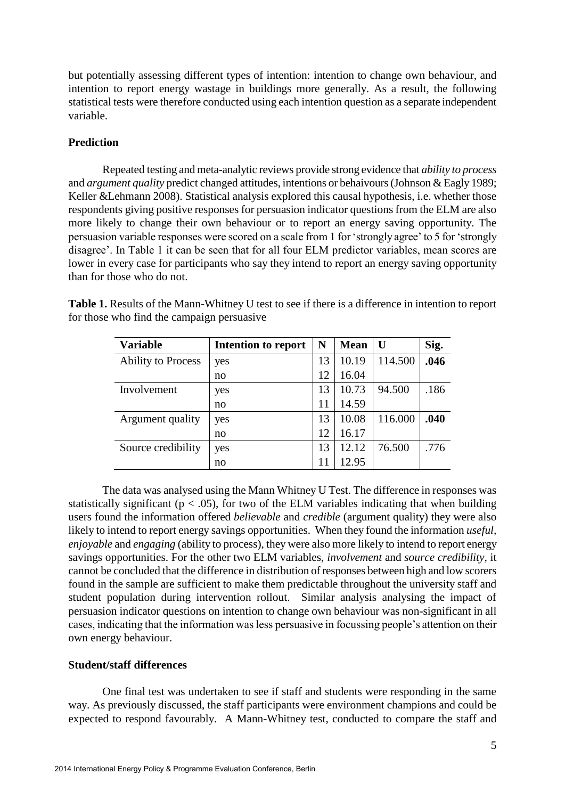but potentially assessing different types of intention: intention to change own behaviour, and intention to report energy wastage in buildings more generally. As a result, the following statistical tests were therefore conducted using each intention question as a separate independent variable.

# **Prediction**

Repeated testing and meta-analytic reviews provide strong evidence that *ability to process*  and *argument quality* predict changed attitudes, intentions or behaivours (Johnson & Eagly 1989; Keller & Lehmann 2008). Statistical analysis explored this causal hypothesis, i.e. whether those respondents giving positive responses for persuasion indicator questions from the ELM are also more likely to change their own behaviour or to report an energy saving opportunity. The persuasion variable responses were scored on a scale from 1 for 'strongly agree' to 5 for 'strongly disagree'. In Table 1 it can be seen that for all four ELM predictor variables, mean scores are lower in every case for participants who say they intend to report an energy saving opportunity than for those who do not.

| <b>Variable</b>           | Intention to report | N  | <b>Mean</b> | U       | Sig. |
|---------------------------|---------------------|----|-------------|---------|------|
| <b>Ability to Process</b> | yes                 | 13 | 10.19       | 114.500 | .046 |
|                           | no                  | 12 | 16.04       |         |      |
| Involvement               | yes                 | 13 | 10.73       | 94.500  | .186 |
|                           | no                  | 11 | 14.59       |         |      |
| Argument quality          | yes                 | 13 | 10.08       | 116.000 | .040 |
|                           | no                  | 12 | 16.17       |         |      |
| Source credibility        | yes                 | 13 | 12.12       | 76.500  | .776 |
|                           | no                  |    | 12.95       |         |      |

**Table 1.** Results of the Mann-Whitney U test to see if there is a difference in intention to report for those who find the campaign persuasive

The data was analysed using the Mann Whitney U Test. The difference in responses was statistically significant ( $p < .05$ ), for two of the ELM variables indicating that when building users found the information offered *believable* and *credible* (argument quality) they were also likely to intend to report energy savings opportunities. When they found the information *useful*, *enjoyable* and *engaging* (ability to process), they were also more likely to intend to report energy savings opportunities. For the other two ELM variables, *involvement* and *source credibility*, it cannot be concluded that the difference in distribution of responses between high and low scorers found in the sample are sufficient to make them predictable throughout the university staff and student population during intervention rollout. Similar analysis analysing the impact of persuasion indicator questions on intention to change own behaviour was non-significant in all cases, indicating that the information was less persuasive in focussing people's attention on their own energy behaviour.

# **Student/staff differences**

One final test was undertaken to see if staff and students were responding in the same way. As previously discussed, the staff participants were environment champions and could be expected to respond favourably. A Mann-Whitney test, conducted to compare the staff and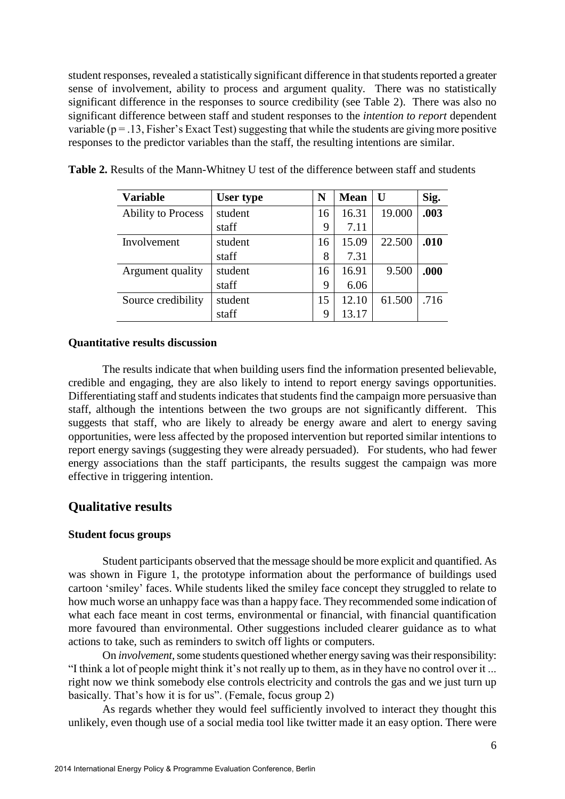student responses, revealed a statistically significant difference in that students reported a greater sense of involvement, ability to process and argument quality. There was no statistically significant difference in the responses to source credibility (see Table 2). There was also no significant difference between staff and student responses to the *intention to report* dependent variable ( $p = 0.13$ , Fisher's Exact Test) suggesting that while the students are giving more positive responses to the predictor variables than the staff, the resulting intentions are similar.

| <b>Variable</b>           | User type | N  | <b>Mean</b> | $\bf U$ | Sig. |
|---------------------------|-----------|----|-------------|---------|------|
| <b>Ability to Process</b> | student   | 16 | 16.31       | 19.000  | .003 |
|                           | staff     | 9  | 7.11        |         |      |
| Involvement               | student   | 16 | 15.09       | 22.500  | .010 |
|                           | staff     | 8  | 7.31        |         |      |
| Argument quality          | student   | 16 | 16.91       | 9.500   | .000 |
|                           | staff     | 9  | 6.06        |         |      |
| Source credibility        | student   | 15 | 12.10       | 61.500  | .716 |
|                           | staff     | 9  | 13.17       |         |      |

**Table 2.** Results of the Mann-Whitney U test of the difference between staff and students

#### **Quantitative results discussion**

The results indicate that when building users find the information presented believable, credible and engaging, they are also likely to intend to report energy savings opportunities. Differentiating staff and students indicates that students find the campaign more persuasive than staff, although the intentions between the two groups are not significantly different. This suggests that staff, who are likely to already be energy aware and alert to energy saving opportunities, were less affected by the proposed intervention but reported similar intentions to report energy savings (suggesting they were already persuaded). For students, who had fewer energy associations than the staff participants, the results suggest the campaign was more effective in triggering intention.

# **Qualitative results**

#### **Student focus groups**

Student participants observed that the message should be more explicit and quantified. As was shown in Figure 1, the prototype information about the performance of buildings used cartoon 'smiley' faces. While students liked the smiley face concept they struggled to relate to how much worse an unhappy face was than a happy face. They recommended some indication of what each face meant in cost terms, environmental or financial, with financial quantification more favoured than environmental. Other suggestions included clearer guidance as to what actions to take, such as reminders to switch off lights or computers.

On *involvement*, some students questioned whether energy saving was their responsibility: "I think a lot of people might think it's not really up to them, as in they have no control over it ... right now we think somebody else controls electricity and controls the gas and we just turn up basically. That's how it is for us". (Female, focus group 2)

As regards whether they would feel sufficiently involved to interact they thought this unlikely, even though use of a social media tool like twitter made it an easy option. There were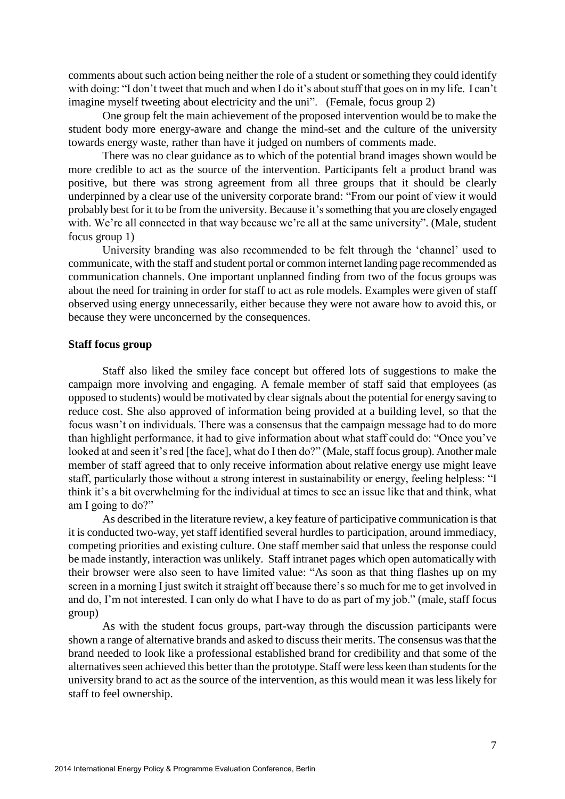comments about such action being neither the role of a student or something they could identify with doing: "I don't tweet that much and when I do it's about stuff that goes on in my life. I can't imagine myself tweeting about electricity and the uni". (Female, focus group 2)

One group felt the main achievement of the proposed intervention would be to make the student body more energy-aware and change the mind-set and the culture of the university towards energy waste, rather than have it judged on numbers of comments made.

There was no clear guidance as to which of the potential brand images shown would be more credible to act as the source of the intervention. Participants felt a product brand was positive, but there was strong agreement from all three groups that it should be clearly underpinned by a clear use of the university corporate brand: "From our point of view it would probably best for it to be from the university. Because it's something that you are closely engaged with. We're all connected in that way because we're all at the same university". (Male, student focus group 1)

University branding was also recommended to be felt through the 'channel' used to communicate, with the staff and student portal or common internet landing page recommended as communication channels. One important unplanned finding from two of the focus groups was about the need for training in order for staff to act as role models. Examples were given of staff observed using energy unnecessarily, either because they were not aware how to avoid this, or because they were unconcerned by the consequences.

#### **Staff focus group**

Staff also liked the smiley face concept but offered lots of suggestions to make the campaign more involving and engaging. A female member of staff said that employees (as opposed to students) would be motivated by clear signals about the potential for energy saving to reduce cost. She also approved of information being provided at a building level, so that the focus wasn't on individuals. There was a consensus that the campaign message had to do more than highlight performance, it had to give information about what staff could do: "Once you've looked at and seen it's red [the face], what do I then do?" (Male, staff focus group). Another male member of staff agreed that to only receive information about relative energy use might leave staff, particularly those without a strong interest in sustainability or energy, feeling helpless: "I think it's a bit overwhelming for the individual at times to see an issue like that and think, what am I going to do?"

As described in the literature review, a key feature of participative communication is that it is conducted two-way, yet staff identified several hurdles to participation, around immediacy, competing priorities and existing culture. One staff member said that unless the response could be made instantly, interaction was unlikely. Staff intranet pages which open automatically with their browser were also seen to have limited value: "As soon as that thing flashes up on my screen in a morning I just switch it straight off because there's so much for me to get involved in and do, I'm not interested. I can only do what I have to do as part of my job." (male, staff focus group)

As with the student focus groups, part-way through the discussion participants were shown a range of alternative brands and asked to discuss their merits. The consensus was that the brand needed to look like a professional established brand for credibility and that some of the alternatives seen achieved this better than the prototype. Staff were less keen than students for the university brand to act as the source of the intervention, as this would mean it was less likely for staff to feel ownership.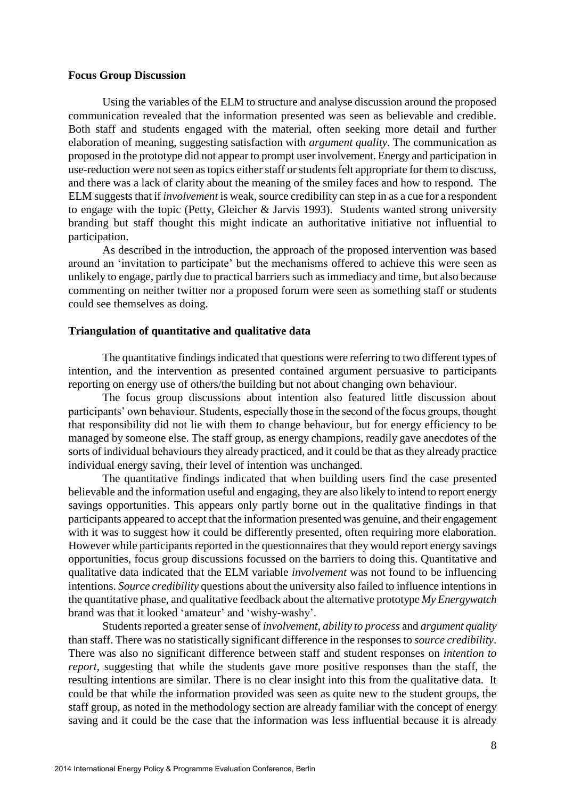#### **Focus Group Discussion**

Using the variables of the ELM to structure and analyse discussion around the proposed communication revealed that the information presented was seen as believable and credible. Both staff and students engaged with the material, often seeking more detail and further elaboration of meaning, suggesting satisfaction with *argument quality.* The communication as proposed in the prototype did not appear to prompt user involvement. Energy and participation in use-reduction were not seen as topics either staff or students felt appropriate for them to discuss, and there was a lack of clarity about the meaning of the smiley faces and how to respond. The ELM suggests that if *involvement* is weak, source credibility can step in as a cue for a respondent to engage with the topic (Petty, Gleicher & Jarvis 1993). Students wanted strong university branding but staff thought this might indicate an authoritative initiative not influential to participation.

As described in the introduction, the approach of the proposed intervention was based around an 'invitation to participate' but the mechanisms offered to achieve this were seen as unlikely to engage, partly due to practical barriers such as immediacy and time, but also because commenting on neither twitter nor a proposed forum were seen as something staff or students could see themselves as doing.

#### **Triangulation of quantitative and qualitative data**

The quantitative findings indicated that questions were referring to two different types of intention, and the intervention as presented contained argument persuasive to participants reporting on energy use of others/the building but not about changing own behaviour.

The focus group discussions about intention also featured little discussion about participants' own behaviour. Students, especially those in the second of the focus groups, thought that responsibility did not lie with them to change behaviour, but for energy efficiency to be managed by someone else. The staff group, as energy champions, readily gave anecdotes of the sorts of individual behaviours they already practiced, and it could be that as they already practice individual energy saving, their level of intention was unchanged.

The quantitative findings indicated that when building users find the case presented believable and the information useful and engaging, they are also likely to intend to report energy savings opportunities. This appears only partly borne out in the qualitative findings in that participants appeared to accept that the information presented was genuine, and their engagement with it was to suggest how it could be differently presented, often requiring more elaboration. However while participants reported in the questionnaires that they would report energy savings opportunities, focus group discussions focussed on the barriers to doing this. Quantitative and qualitative data indicated that the ELM variable *involvement* was not found to be influencing intentions. *Source credibility* questions about the university also failed to influence intentions in the quantitative phase, and qualitative feedback about the alternative prototype *My Energywatch* brand was that it looked 'amateur' and 'wishy-washy'.

Students reported a greater sense of *involvement*, *ability to process* and *argument quality* than staff. There was no statistically significant difference in the responses to *source credibility*. There was also no significant difference between staff and student responses on *intention to report*, suggesting that while the students gave more positive responses than the staff, the resulting intentions are similar. There is no clear insight into this from the qualitative data. It could be that while the information provided was seen as quite new to the student groups, the staff group, as noted in the methodology section are already familiar with the concept of energy saving and it could be the case that the information was less influential because it is already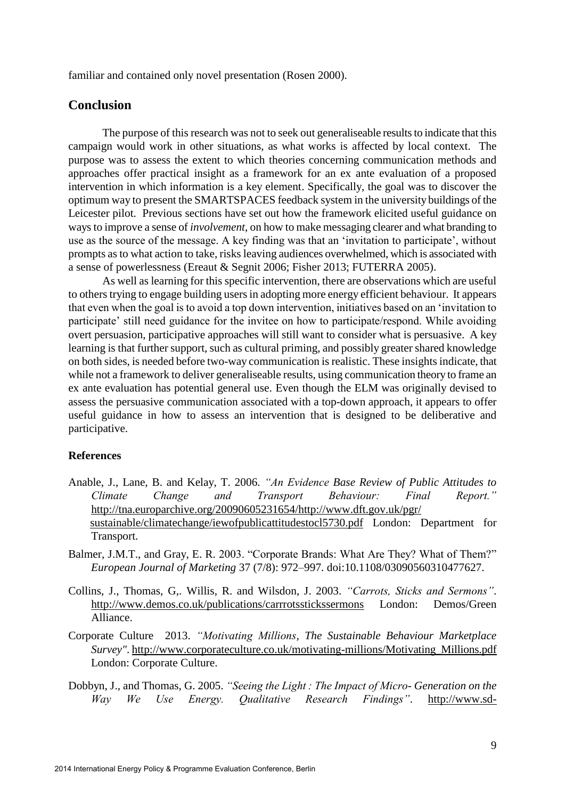familiar and contained only novel presentation (Rosen 2000).

# **Conclusion**

The purpose of this research was not to seek out generaliseable results to indicate that this campaign would work in other situations, as what works is affected by local context. The purpose was to assess the extent to which theories concerning communication methods and approaches offer practical insight as a framework for an ex ante evaluation of a proposed intervention in which information is a key element. Specifically, the goal was to discover the optimum way to present the SMARTSPACES feedback system in the university buildings of the Leicester pilot. Previous sections have set out how the framework elicited useful guidance on ways to improve a sense of *involvement*, on how to make messaging clearer and what branding to use as the source of the message. A key finding was that an 'invitation to participate', without prompts as to what action to take, risks leaving audiences overwhelmed, which is associated with a sense of powerlessness (Ereaut & Segnit 2006; Fisher 2013; FUTERRA 2005).

As well as learning for this specific intervention, there are observations which are useful to others trying to engage building users in adopting more energy efficient behaviour. It appears that even when the goal is to avoid a top down intervention, initiatives based on an 'invitation to participate' still need guidance for the invitee on how to participate/respond. While avoiding overt persuasion, participative approaches will still want to consider what is persuasive. A key learning is that further support, such as cultural priming, and possibly greater shared knowledge on both sides, is needed before two-way communication is realistic. These insights indicate, that while not a framework to deliver generaliseable results, using communication theory to frame an ex ante evaluation has potential general use. Even though the ELM was originally devised to assess the persuasive communication associated with a top-down approach, it appears to offer useful guidance in how to assess an intervention that is designed to be deliberative and participative.

### **References**

- Anable, J., Lane, B. and Kelay, T. 2006. *"An Evidence Base Review of Public Attitudes to Climate Change and Transport Behaviour: Final Report."* http://tna.europarchive.org/20090605231654/http://www.dft.gov.uk/pgr/ sustainable/climatechange/iewofpublicattitudestocl5730.pdf London: Department for Transport.
- Balmer, J.M.T., and Gray, E. R. 2003. "Corporate Brands: What Are They? What of Them?" *European Journal of Marketing* 37 (7/8): 972–997. doi:10.1108/03090560310477627.
- Collins, J., Thomas, G,. Willis, R. and Wilsdon, J. 2003. *"Carrots, Sticks and Sermons"*. http://www.demos.co.uk/publications/carrrotsstickssermons London: Demos/Green Alliance.
- Corporate Culture 2013. *"Motivating Millions, The Sustainable Behaviour Marketplace Survey"*. http://www.corporateculture.co.uk/motivating-millions/Motivating\_Millions.pdf London: Corporate Culture.
- Dobbyn, J., and Thomas, G. 2005. *"Seeing the Light : The Impact of Micro- Generation on the Way We Use Energy. Qualitative Research Findings"*. http://www.sd-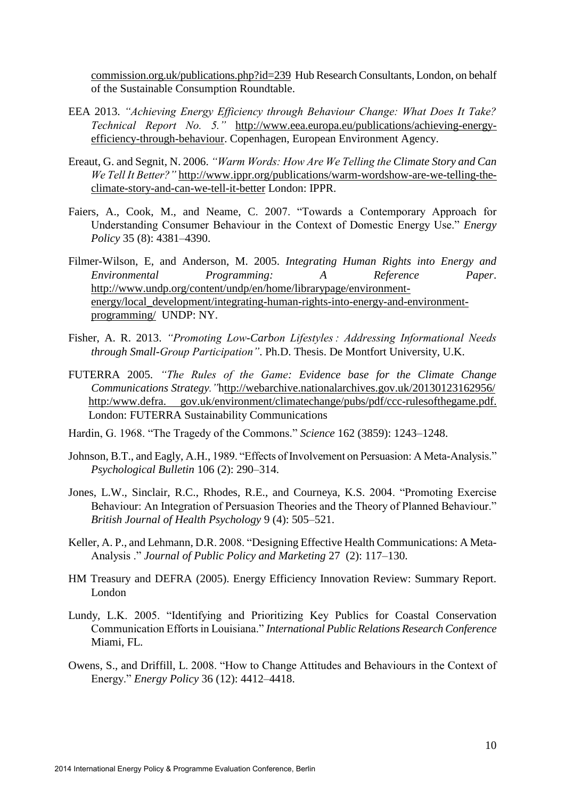commission.org.uk/publications.php?id=239 Hub Research Consultants, London, on behalf of the Sustainable Consumption Roundtable.

- EEA 2013. *"Achieving Energy Efficiency through Behaviour Change: What Does It Take? Technical Report No. 5."* http://www.eea.europa.eu/publications/achieving-energyefficiency-through-behaviour. Copenhagen, European Environment Agency.
- Ereaut, G. and Segnit, N. 2006. *"Warm Words: How Are We Telling the Climate Story and Can We Tell It Better?"* http://www.ippr.org/publications/warm-wordshow-are-we-telling-theclimate-story-and-can-we-tell-it-better London: IPPR.
- Faiers, A., Cook, M., and Neame, C. 2007. "Towards a Contemporary Approach for Understanding Consumer Behaviour in the Context of Domestic Energy Use." *Energy Policy* 35 (8): 4381–4390.
- Filmer-Wilson, E, and Anderson, M. 2005. *Integrating Human Rights into Energy and Environmental Programming: A Reference Paper*. http://www.undp.org/content/undp/en/home/librarypage/environmentenergy/local\_development/integrating-human-rights-into-energy-and-environmentprogramming/ UNDP: NY.
- Fisher, A. R. 2013. *"Promoting Low-Carbon Lifestyles : Addressing Informational Needs through Small-Group Participation"*. Ph.D. Thesis. De Montfort University, U.K.
- FUTERRA 2005. *"The Rules of the Game: Evidence base for the Climate Change Communications Strategy."*http://webarchive.nationalarchives.gov.uk/20130123162956/ http:/www.defra. gov.uk/environment/climatechange/pubs/pdf/ccc-rulesofthegame.pdf. London: FUTERRA Sustainability Communications
- Hardin, G. 1968. "The Tragedy of the Commons." *Science* 162 (3859): 1243–1248.
- Johnson, B.T., and Eagly, A.H., 1989. "Effects of Involvement on Persuasion: A Meta-Analysis." *Psychological Bulletin* 106 (2): 290–314.
- Jones, L.W., Sinclair, R.C., Rhodes, R.E., and Courneya, K.S. 2004. "Promoting Exercise Behaviour: An Integration of Persuasion Theories and the Theory of Planned Behaviour." *British Journal of Health Psychology* 9 (4): 505–521.
- Keller, A. P., and Lehmann, D.R. 2008. "Designing Effective Health Communications: A Meta-Analysis ." *Journal of Public Policy and Marketing* 27 (2): 117–130.
- HM Treasury and DEFRA (2005). Energy Efficiency Innovation Review: Summary Report. London
- Lundy, L.K. 2005. "Identifying and Prioritizing Key Publics for Coastal Conservation Communication Efforts in Louisiana." *International Public Relations Research Conference*  Miami, FL.
- Owens, S., and Driffill, L. 2008. "How to Change Attitudes and Behaviours in the Context of Energy." *Energy Policy* 36 (12): 4412–4418.